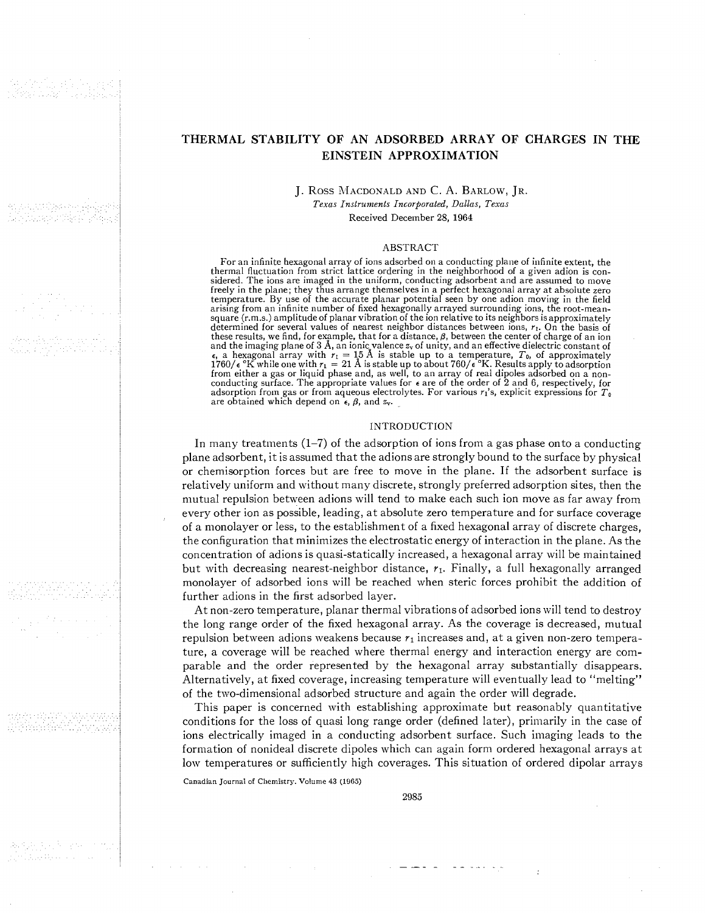직수 부모 한번 간 소문 없이? tah italiana lotas pinakang

le primir de la Corpo<br>Sistema de la Corpo

film an

for Butter Caracterates NERAKAN YAK

# **THERMAL STABILITY OF AN ADSORBED ARRAY OF CHARGES IN THE EINSTEIN APPROXIMATION**

J. Ross MacDONALD AND C. A. BARLOW, JR. Texas Instruments Incorporated, Dallas, Texas Received December **28, 1964** 

#### ABSTRACT

For an infinite hexagonal array of ions adsorbed on a conducting plane of infinite extent, the thermal fluctuation from strict lattice ordering in the neighborhood of a given adion is conthermal fluctuation from strict lattice ordering in the neighborhood of a given adion is considered. The ions are imaged in the uniform, conducting adsorbent and are assumed to move freely in the plane; they thus arrange t square (r.m.s.) amplitude of planar vibration of the ion relative to its neighbors is approximately determined for several values of nearest neighbor distances between ions,  $r_1$ . On the basis of these results, we find, for example, that for a distance,  $\beta$ , between the center of charge of an ion<br>and the imaging plane of 3 Å, an ionic valence  $z_v$  of unity, and an effective dielectric constant of<br> $\epsilon$ , a hexagona from either a gas or liquid phase and, as well, to an array of real dipoles adsorbed on a non- conducting surface. The appropriate values for **e** are of the order of **2** and **6,** respectively, for adsorption from gas or from aqueous electrolytes. For various  $r_1$ 's, explicit expressions for  $T_0$  are obtained which depend on  $\epsilon$ ,  $\beta$ , and  $z_y$ .

#### INTRODUCTION

In many treatments  $(1-7)$  of the adsorption of ions from a gas phase onto a conducting plane adsorbent, it is assumed that the adions are strongly bound to the surface by physical or chemisorption forces but are free to move in the plane. If the adsorbent surface is relatively uniform and without many discrete, strongly preferred adsorption sites, then the mutual repulsion between adions will tend to make each such ion move as far away from every other ion as possible, leading, at absolute zero temperature and for surface coverage of a monolayer or less, to the establishment of a fixed hexagonal array of discrete charges, the configuration that minimizes the electrostatic energy of interaction in the plane. As the concentration of adions is quasi-statically increased, a hexagonal array will be maintained but with decreasing nearest-neighbor distance, **71.** Finally, a full hexagonally arranged monolayer of adsorbed ions will be reached when steric forces prohibit the addition of further adions in the first adsorbed layer.

At non-zero temperature, planar thermal vibrations of adsorbed ions will tend to destroy the long range order of the fixed hexagonal array. As the coverage is decreased, mutual repulsion between adions weakens because **71** increases and, at a given non-zero temperature, a coverage will be reached where thermal energy and interaction energy are comparable and the order represented by the hexagonal array substantially disappears. Alternatively, at fixed coverage, increasing temperature will eventually lead to "melting" of the two-dimensional adsorbed structure and again the order will degrade.

This paper is concerned with establishing approximate but reasonably quantitative conditions for the loss of quasi long range order (defined later), primarily in the case of ions electrically imaged in a conducting adsorbent surface. Such imaging leads to the formation of nonideal discrete dipoles which can again form ordered hexagonal arrays at low temperatures or sufficiently high coverages. This situation of ordered dipolar arrays

Canadian Journal of Chen~istry. Volume **43** (1965)

2985

 $\omega_{\rm c} = \omega_{\rm c} = \omega_{\rm c} = \omega_{\rm c} = \omega_{\rm c} = \omega_{\rm c} = \omega_{\rm c}$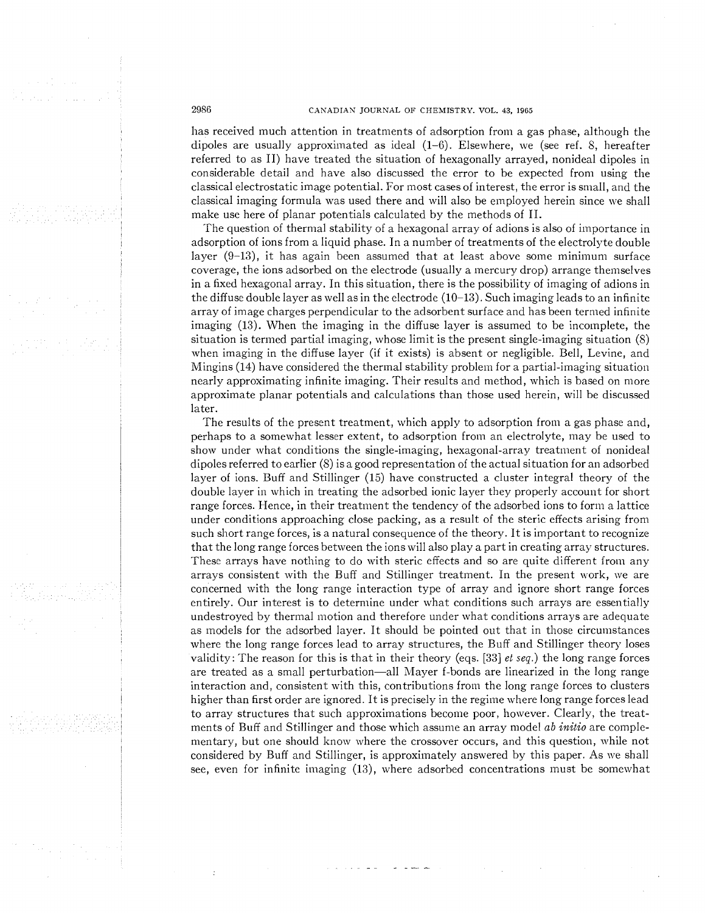# 2986 CANADIAN JOURNAL OF CHEMISTRY. VOL. 43, 1965

has received much attention in treatments of adsorption from a gas phase, although the dipoles are usually approximated as ideal (1-6). Elsewhere, we (see ref. S, hereafter referred to as 11) have treated the situation of hexagonally arrayed, nonideal dipoles in considerable detail and have also discussed the error to be expected from using the classical electrostatic image potential. For most cases of interest, the error is small, and the classical imaging formula was used there and will also be employed herein since we shall make use here of planar potentials calculated by the methods of 11.

The question of thermal stability of a hexagonal array of adions is also of importance in adsorption of ions from a liquid phase. In a number of treatments of the electrolyte double layer  $(9-13)$ , it has again been assumed that at least above some minimum surface coverage, the ions adsorbed on the electrode (usually a mercury drop) arrange themselves in a fixed hexagonal array. In this situation, there is the possibility of imaging of adions in the diffuse double layer as well as in the electrode (10-13). Such imaging leads to an infinite array of image charges perpendicular to the adsorbent surface and has been termed infinite imaging (13). When the imaging in the diffuse layer is assumed to be incomplete, the situation is termed partial imaging, whose limit is the present single-imaging situation (8) when imaging in the diffuse layer (if it exists) is absent or negligible. Bell, Levine, and Mingins (14) have considered the thermal stability problem for a partial-imaging situation nearly approximating infinite imaging. Their results and method, which is based on more approximate planar potentials and calculations than those used herein, will be discussed later.

The results of the present treatment, which apply to adsorption from a gas phase and, perhaps to a somewhat lesser extent, to adsorption from an electrolyte, inay be used to show under what conditions the single-imaging, hexagonal-array treatment of nonideal dipoles referred to earlier (8) is a good representation of the actual situation for an adsorbed layer of ions. Buff and Stillinger (15) have constructed a cluster integral theory of the double layer in which in treating the adsorbed ionic layer they properly account for short range forces. Hence, in their treatment the tendency of the adsorbed ions to form a lattice under conditions approaching close packing, as a result of the steric effects arising from such short range forces, is a natural consequence of the theory. It is important to recognize that the long range forces between the ions will also play a part in creating array structures. These arrays have nothing to do with steric effects and so are quite different from any arrays consistent with the Buff and Stillinger treatment. In the present work, we are concerned with the long range interaction type of array and ignore short range forces entirely. Our interest is to determine under what conditions such arrays are essentially undestroyed by thermal motion and therefore under what conditions arrays are adequate as models for the adsorbed layer. It should be pointed out that in those circumstances where the long range forces lead to array structures, the Buff and Stillinger theory loses validity: The reason for this is that in their theory (eqs. [33] et seq.) the long range forces are treated as a small perturbation-all Mayer f-bonds are linearized in the long range interaction and, consistent with this, contributions from the long range forces to clusters higher than first order are ignored. It is precisely in the regime where long range forces lead to array structures that such approximations become poor, however. Clearly, the treatments of Buff and Stillinger and those which assume an array model ab *initio* are complementary, but one should knoxv where the crossover occurs, and this question, while not considered by Buff and Stillinger, is approxiinately answered by this paper. As we shall see, even for infinite imaging (13), where adsorbed concentrations must be somewhat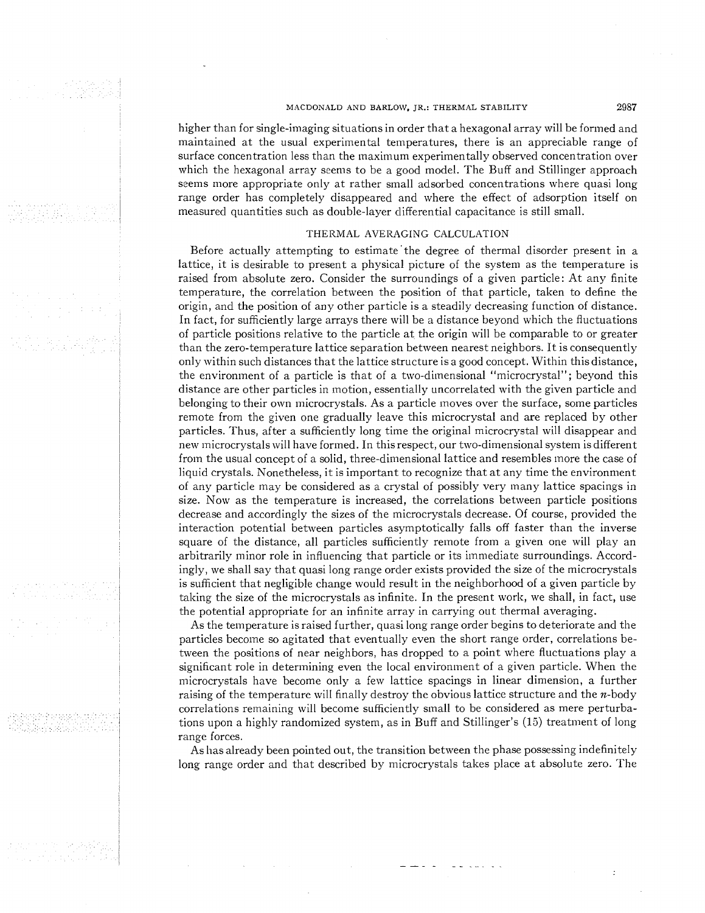# MACDONALD AND BARLOW, JR.: THERMAL STABILITY 2987

higher than for single-imaging situations in order that a hexagonal array will be formed and maintained at the usual experimental temperatures, there is an appreciable range of surface concentration less than the maximum experimentally observed concentration over which the hexagonal array seems to be a good model. The Buff and Stillinger approach seems more appropriate only at rather small adsorbed concentrations where quasi long range order has completely disappeared and where the effect of adsorption itself on measured quantities such as double-layer differential capacitance is still small.

#### THERMAL AVERAGING CALCULATION

Before actually attempting to estimate'the degree of thermal disorder present in a lattice, it is desirable to present a physical picture of the system as the temperature is raised from absolute zero. Consider the surroundings of a given particle: At any finite temperature, the correlation between the position of that particle, taken to define the origin, and the position of any other particle is a steadily decreasing function of distance. In fact, for sufficiently large arrays there will be a distance beyond which the fluctuations of particle positions relative to the particle at the origin will be comparable to or greater than the zero-temperature lattice separation between nearest neighbors. It is consequently only within such distances that the lattice structure is a good concept. Within this distance, the environment of a particle is that of a two-dimensional "microcrystal"; beyond this distance are other particles in motion, essentially uncorrelated with the given particle and belonging to their own microcrystals. As a particle inoves over the surface, some particles remote from the given one gradually leave this microcrystal and are replaced by other particles. Thus, after a sufficiently long time the original microcrystal will disappear and new microcrystals will have formed. In this respect, our two-dimensional system is different from the usual concept of a solid, three-dimensional lattice and resembles more the case of liquid crystals. Nonetheless, it is important to recognize that at any time the environment of any particle may be considered as a crystal of possibly very many lattice spacings in size. Now as the temperature is increased, the correlations between particle positions decrease and accordingly the sizes of the microcrystals decrease. Of course, provided the interaction potential between particles asymptotically falls off faster than the inverse square of the distance, all particles sufficiently remote from a given one will play an arbitrarily minor role in influencing that particle or its immediate surroundings. Accordingly, we shall say that quasi long range order exists provided the size of the microcrystals is sufficient that negligible change would result in the neighborhood of a given particle by taking the size of the microcrystals as infinite. In the present work, we shall, in fact, use the potential appropriate for an infinite array in carrying out thermal averaging.

As the temperature is raised further, quasi long range order begins to deteriorate and the particles become so agitated that eventually even the short range order, correlations between the positions of near neighbors, has dropped to a point where fluctuations play a significant role in determining even the local environment of a given particle. When the inicrocrystals have become only a few lattice spacings in linear dimension, a further raising of the temperature will finally destroy the obvious lattice structure and the  $n$ -body correlations remaining will become sufficiently small to be considered as mere perturbations upon a highly randomized system, as in Buff and Stillinger's (15) treatment of long range forces.

As has already been pointed out, the transition between the phase possessing indefinitely long range order and that described by microcrystals takes place at absolute zero. The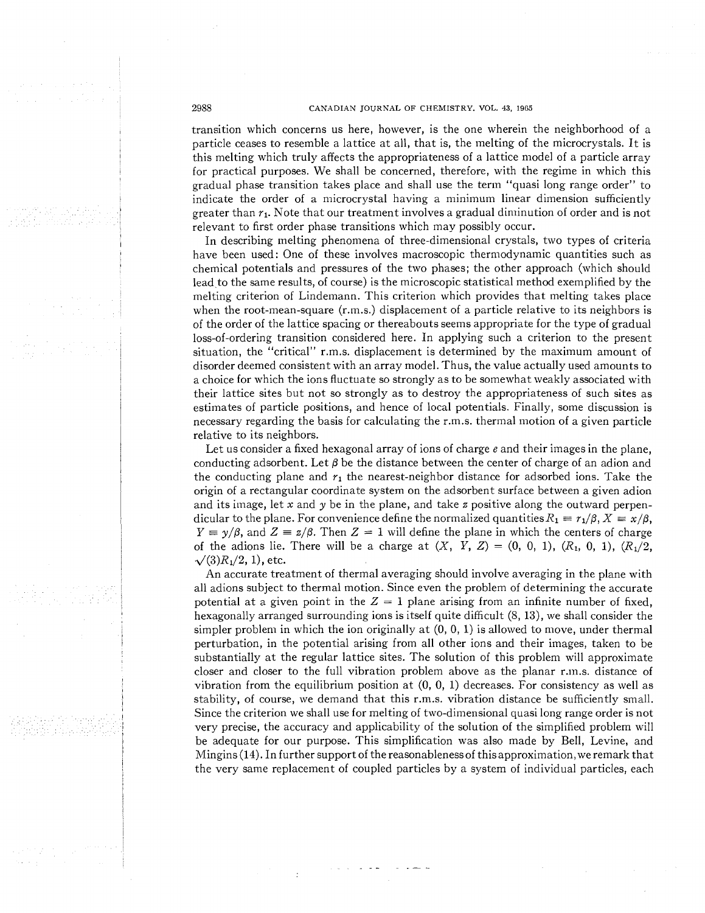# 2988 CANADIAN JOURNAL OF CHEMISTRY. VOL. **43,** 1965

transition which concerns us here, however, is the one wherein the neighborhood of a particle ceases to resemble a lattice at all, that is, the melting of the microcrystals. It is this melting which truly affects the appropriateness of a lattice model of a particle array for practical purposes. We shall be concerned, therefore, with the regime in which this gradual phase transition takes place and shall use the term "quasi long range order" to indicate the order of a microcrystal having a minimum linear dimension sufficiently greater than  $r_1$ . Note that our treatment involves a gradual diminution of order and is not relevant to first order phase transitions which may possibly occur.

In describing melting phenomena of three-dimensional crystals, two types of criteria have been used: One of these involves macroscopic thermodynamic quantities such as chemical potentials and pressures of the two phases; the other approach (which should lead to the same results, of course) is the microscopic statistical method exemplified by the melting criterion of Lindemann. This criterion which provides that melting takes place when the root-mean-square (r.m.s.) displacement of a particle relative to its neighbors is of the order of the lattice spacing or thereabouts seems appropriate for the type of gradual loss-of-ordering transition considered here. In applying such a criterion to the present situation, the "critical" r.m.s. displacement is determined by the maximum amount of disorder deemed consistent with an array model. Thus, the value actually used amounts to a choice for which the ions fluctuate so strongly as to be somewhat weakly associated with their lattice sites but not so strongly as to destroy the appropriateness of such sites as estimates of particle positions, and hence of local potentials. Finally, some discussion is necessary regarding the basis for calculating the r.m.s. thermal motion of a given particle relative to its neighbors.

Let us consider a fixed hexagonal array of ions of charge  $e$  and their images in the plane, conducting adsorbent. Let  $\beta$  be the distance between the center of charge of an adion and the conducting plane and  $r_1$  the nearest-neighbor distance for adsorbed ions. Take the origin of a rectangular coordinate system on the adsorbent surface between a given adion and its image, let x and y be in the plane, and take z positive along the outward perpendicular to the plane. For convenience define the normalized quantities  $R_1 \equiv r_1/\beta$ ,  $X \equiv x/\beta$ ,  $Y \equiv \gamma/\beta$ , and  $Z \equiv z/\beta$ . Then  $Z = 1$  will define the plane in which the centers of charge of the adions lie. There will be a charge at  $(X, Y, Z) = (0, 0, 1), (R_1, 0, 1), (R_1/2, ...)$  $\sqrt{(3)}R_1/2$ , 1), etc.

An accurate treatment of thermal averaging should involve averaging in the plane with all adions subject to thermal motion. Since even the problem of determining the accurate potential at a given point in the  $Z = 1$  plane arising from an infinite number of fixed, hexagonally arranged surrounding ions is itself quite difficult (8, 13), we shall consider the simpler problem in which the ion originally at  $(0, 0, 1)$  is allowed to move, under thermal perturbation, in the potential arising from all other ions and their images, taken to be substantially at the regular lattice sites. The solution of this problem will approximate closer and closer to the full vibration problem above as the planar r.1n.s. distance of vibration from the equilibrium position at  $(0, 0, 1)$  decreases. For consistency as well as stability, of course, we demand that this r.m.s. vibration distance be sufficiently small. Since the criterion we shall use for melting of two-dimensional quasi long range order is not very precise, the accuracy and applicability of the solution of the simplified problem will be adequate for our purpose. This simplification was also made by Bell, Levine, and Mingins  $(14)$ . In further support of the reasonableness of this approximation, we remark that the very same replacement of coupled particles by a system of individual particles, each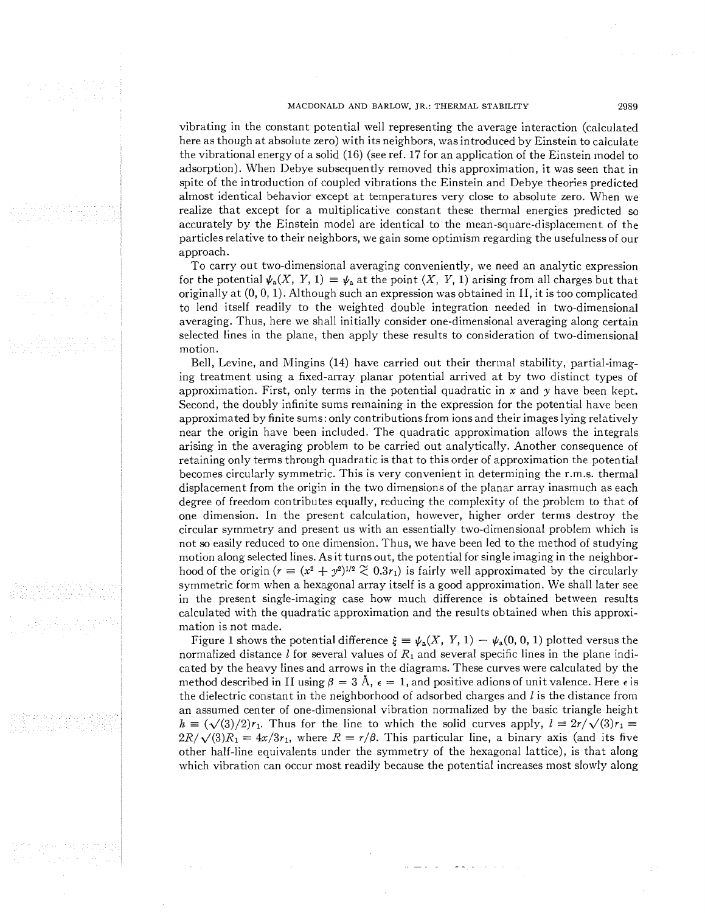# MACDONALD AND BARLOW, JR.: THERMAL STABILITY 2989

vibrating in the constant potential well representing the average interaction (calculated here as though at absolute zero) with its neighbors, was introduced by Einstein to calculate the vibrational energy of a solid (16) (see ref. 17 for an application of the Einstein inodel to adsorption). When Debye subsequently removed this approximation, it was seen that in spite of the introduction of coupled vibrations the Einstein and Debye theories predicted almost identical behavior except at temperatures very close to absolute zero. When we realize that except for a multiplicative constant these thermal energies predicted so accurately by the Einstein model are identical to the mean-square-displacement of the particles relative to their neighbors, we gain some optimism regarding the usefulness of our approach.

To carry out two-dimensional averaging conveniently, we need an analytic expression for the potential  $\psi_a(X, Y, 1) = \psi_a$  at the point  $(X, Y, 1)$  arising from all charges but that originally at  $(0, 0, 1)$ . Although such an expression was obtained in II, it is too complicated to lend itself readily to the weighted double integration needed in two-dimensional averaging. Thus, here we shall initially consider one-dimensional averaging along certain selected lines in the plane, then apply these results to consideration of two-dimensional motion.

Bell, Levine, and Mingins (14) have carried out their thermal stability, partial-imaging treatment using a fixed-array planar potential arrived at by two distinct types of approximation. First, only terms in the potential quadratic in x and y have been kept. Second, the doubly infinite sums remaining in the expression for the potential have been approximated by finite sums: only contributions from ions and their images lying relatively near the origin have been included. The quadratic approximation allows the integrals arising in the averaging problem to be carried out analytically. Another consequence of retaining only terms through quadratic is that to this order of approximation the potential becomes circularly symmetric. This is very convenient in determining the r.m.s. thermal displacement from the origin in the two dimensions of the planar array inasmuch as each degree of freedom contributes equally, reducing the complexity of the problem to that of one dimension. In the present calculation, however, higher order terms destroy the circular symmetry and present us with an essentially two-dimensional problem which is not so easily reduced to one dimension. Thus, we have been led to the method of studying motion along selected lines. As it turns out, the potential for single imaging in the neighborhood of the origin  $(r = (x^2 + y^2)^{1/2} \approx 0.3r_1)$  is fairly well approximated by the circularly symmetric form when a hexagonal array itself is a good approximation. We shall later see in the present single-imaging case how much difference is obtained between results calculated with the quadratic approximation and the results obtained when this approximation is not made.

Figure 1 shows the potential difference  $\xi = \psi_a(X, Y, 1) - \psi_a(0, 0, 1)$  plotted versus the normalized distance l for several values of  $R_1$  and several specific lines in the plane indicated by the heavy lines and arrows in the diagrams. These curves were calculated by the method described in II using  $\beta = 3$  Å,  $\epsilon = 1$ , and positive adions of unit valence. Here  $\epsilon$  is the dielectric constant in the neighborhood of adsorbed charges and *I* is the distance from an assumed center of one-dimensional vibration normalized by the basic triangle height  $h \equiv (\sqrt{3})/2r_1$ . Thus for the line to which the solid curves apply,  $l \equiv 2r/\sqrt{3}r_1 =$  $2R/\sqrt{3}R_1 \equiv 4x/3r_1$ , where  $R \equiv r/\beta$ . This particular line, a binary axis (and its five other half-line equivalents under the symmetry of the hexagonal lattice), is that along which vibration can occur most readily because the potential increases most slowly along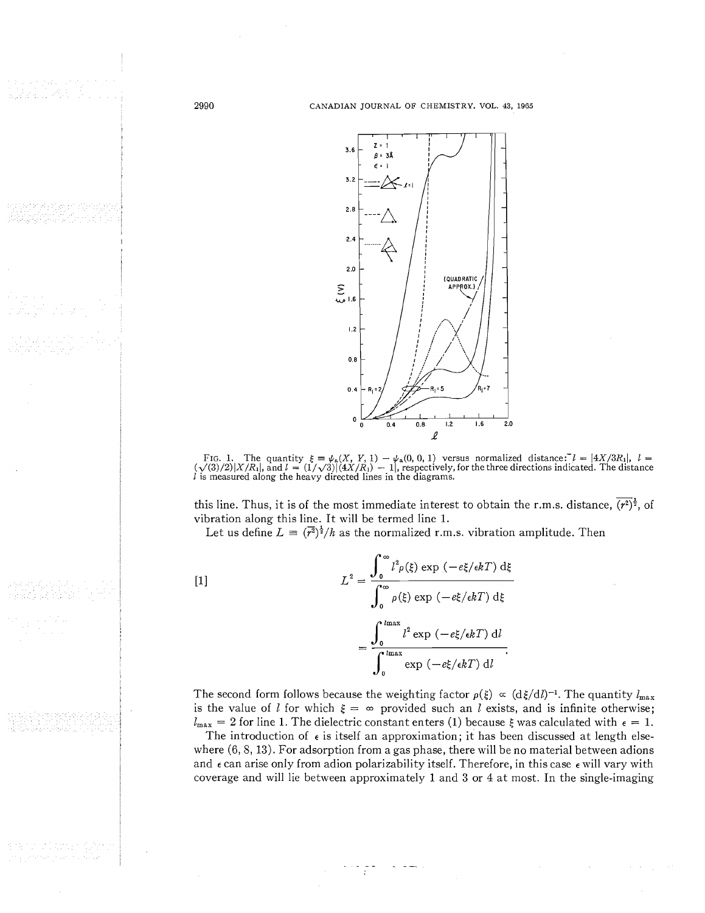2990

agelet en motball.

193

a atlanter





this line. Thus, it is of the most immediate interest to obtain the r.m.s. distance,  $\overline{(r^2)}^{\frac{1}{2}}$ , of vibration along this line. It will be termed line 1.

Let us define  $L = (\overline{r^2})^{\frac{1}{2}}/h$  as the normalized r.m.s. vibration amplitude. Then

 $[1]$ 

$$
L^{2} = \frac{\int_{0}^{\infty} l^{2} \rho(\xi) \exp(-e\xi/\epsilon kT) d\xi}{\int_{0}^{\infty} \rho(\xi) \exp(-e\xi/\epsilon kT) d\xi}
$$

$$
= \frac{\int_{0}^{\ln x} l^{2} \exp(-e\xi/\epsilon kT) dI}{\int_{0}^{\ln x} \exp(-e\xi/\epsilon kT) dI}.
$$

The second form follows because the weighting factor  $\rho(\xi) \propto (d\xi/dl)^{-1}$ . The quantity  $l_{\text{max}}$ is the value of l for which  $\xi = \infty$  provided such an l exists, and is infinite otherwise;  $l_{\text{max}} = 2$  for line 1. The dielectric constant enters (1) because  $\xi$  was calculated with  $\epsilon = 1$ .

The introduction of  $\epsilon$  is itself an approximation; it has been discussed at length elsewhere  $(6, 8, 13)$ . For adsorption from a gas phase, there will be no material between adions and  $\epsilon$  can arise only from adion polarizability itself. Therefore, in this case  $\epsilon$  will vary with coverage and will lie between approximately 1 and 3 or 4 at most. In the single-imaging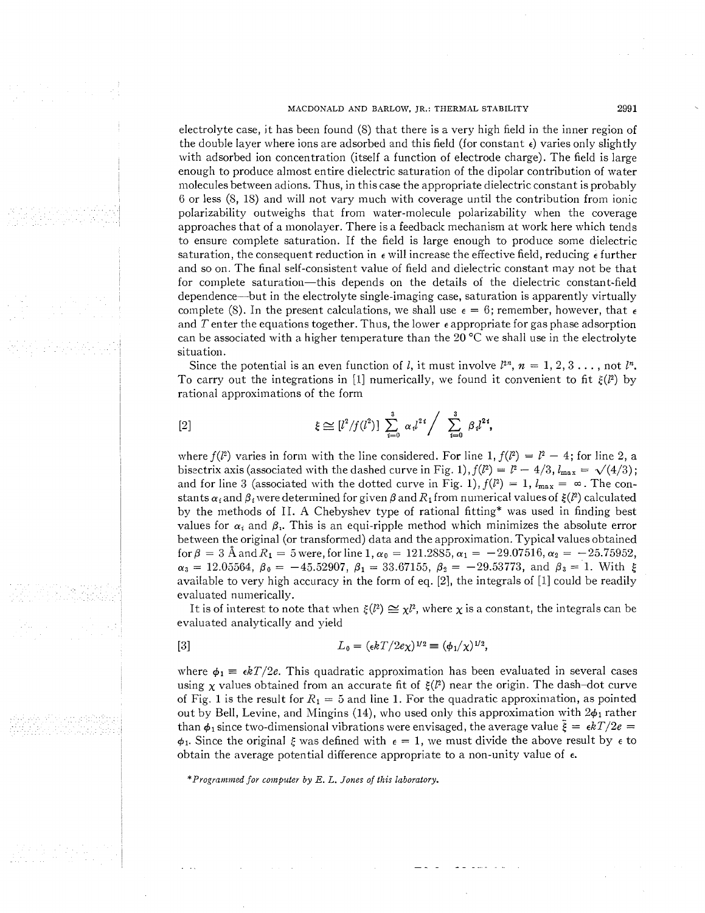## MACDONALD AND BARLOW, JR.: THERMAL STABILITY **2991**

electrolyte case, it has been found (8) that there is a very high field in the inner region of the double layer where ions are adsorbed and this field (for constant  $\epsilon$ ) varies only slightly with adsorbed ion concentration (itself a function of electrode charge). The field is large enough to produce almost entire dielectric saturation of the dipolar contribution of water molecules between adions. Thus, in this case the appropriate dielectric constant is probably 6 or less (8, IS) and will not vary much with coverage until the contribution from ionic polarizability outweighs that from water-molecule polarizability when the coverage approaches that of a monolayer. There is a feedback mechanism at work here which tends to ensure complete saturation. If the field is large enough to produce some dielectric saturation, the consequent reduction in  $\epsilon$  will increase the effective field, reducing  $\epsilon$  further and so on. The final self-consistent value of field and dielectric constant may not be that for complete saturation—this depends on the details of the dielectric constant-field dependence-but in the electrolyte single-imaging case, saturation is apparently virtually complete (8). In the present calculations, we shall use  $\epsilon = 6$ ; remember, however, that  $\epsilon$ and T enter the equations together. Thus, the lower  $\epsilon$  appropriate for gas phase adsorption can be associated with a higher temperature than the 20  $^{\circ}$ C we shall use in the electrolyte situation.

Since the potential is an even function of l, it must involve  $l^{2n}$ ,  $n = 1, 2, 3, \ldots$ , not  $l^n$ . To carry out the integrations in [1] numerically, we found it convenient to fit  $\xi(\ell^2)$  by rational approximations of the form

$$
\xi \cong [l^2/f(l^2)] \; \sum_{i=0}^3 \; \alpha \, l^{2 \, i} \Big/ \; \; \sum_{i=0}^3 \; \beta \, l^{2 \, i},
$$

 $[2]$ 

where  $f(l^2)$  varies in form with the line considered. For line 1,  $f(l^2) = l^2 - 4$ ; for line 2, a bisectrix axis (associated with the dashed curve in Fig. 1),  $f(l^2) = l^2 - 4/3$ ,  $l_{\text{max}} = \sqrt{(4/3)}$ ; and for line 3 (associated with the dotted curve in Fig. 1),  $f(l^2) = 1$ ,  $l_{\text{max}} = \infty$ . The constants  $\alpha_i$  and  $\beta_i$  were determined for given  $\beta$  and  $R_1$  from numerical values of  $\xi(l^2)$  calculated by the methods of 11. A Chebyshev type of rational fitting\* was used in finding best values for  $\alpha_i$  and  $\beta_i$ . This is an equi-ripple method which minimizes the absolute error between the original (or transformed) data and the approximation. Typical values obtained for  $\beta = 3$  Å and  $R_1 = 5$  were, for line 1,  $\alpha_0 = 121.2885$ ,  $\alpha_1 = -29.07516$ ,  $\alpha_2 = -25.75952$ ,  $\alpha_3 = 12.05564, \ \beta_0 = -45.52907, \ \beta_1 = 33.67155, \ \beta_2 = -29.53773, \text{ and } \beta_3 = 1. \text{ With } \xi$ available to very high accuracy in the form of eq. **[2],** the integrals of [I] could be readily evaluated numerically.

It is of interest to note that when  $\xi(l^2) \cong \chi l^2$ , where  $\chi$  is a constant, the integrals can be evaluated analytically and yield

[3] 
$$
L_0 = (\epsilon k T / 2e\chi)^{1/2} \equiv (\phi_1/\chi)^{1/2},
$$

where  $\phi_1 = \epsilon kT/2e$ . This quadratic approximation has been evaluated in several cases using x values obtained from an accurate fit of  $\xi(\ell^2)$  near the origin. The dash-dot curve of Fig. 1 is the result for  $R_1 = 5$  and line 1. For the quadratic approximation, as pointed out by Bell, Levine, and Mingins (14), who used only this approximation with  $2\phi_1$  rather than  $\phi_1$  since two-dimensional vibrations were envisaged, the average value  $\bar{\xi} = \epsilon kT/2e$  $\phi_1$ . Since the original  $\xi$  was defined with  $\epsilon = 1$ , we must divide the above result by  $\epsilon$  to obtain the average potential difference appropriate to a non-unity value of  $\epsilon$ .

*\*Programmed for computer by E. L. Jones of this laboratory.*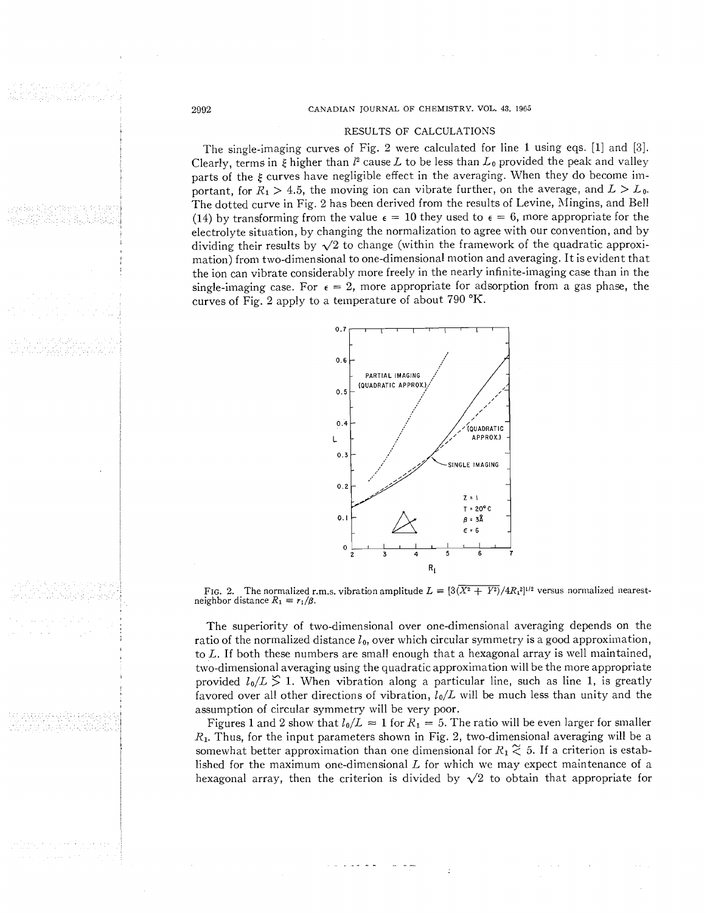#### 2002 CANADIAN JOURNAL OF CHEMISTRY. VOL. **43.** <sup>1966</sup>

# RESULTS OF CALCULATIONS

The single-imaging curves of Fig. 2 were calculated for line 1 using eqs. [I] and **[3].**  Clearly, terms in  $\xi$  higher than  $l^2$  cause  $L$  to be less than  $L_0$  provided the peak and valley parts of the  $\xi$  curves have negligible effect in the averaging. When they do become important, for  $R_1 > 4.5$ , the moving ion can vibrate further, on the average, and  $L > L_0$ . The dotted curve in Fig. 2 has been derived from the results of Levine, Mingins, and Bell (14) by transforming from the value  $\epsilon = 10$  they used to  $\epsilon = 6$ , more appropriate for the electrolyte situation, by changing the normalization to agree with our convention, and by dividing their results by  $\sqrt{2}$  to change (within the framework of the quadratic approximation) from two-dimensional to one-dimensional motion and averaging. It is evident that the ion can vibrate considerably more freely in the nearly infinite-imaging case than in the single-imaging case. For  $\epsilon = 2$ , more appropriate for adsorption from a gas phase, the curves of Fig. 2 apply to a temperature of about  $790\text{ °K}$ .



FIG. 2. The normalized r.m.s. vibration amplitude  $L \equiv [3(\overline{X^2 + Y^2})/4R_1^2]^{1/2}$  versus normalized nearestneighbor distance  $R_1 = r_1/\beta$ .

The superiority of two-dimensional over one-dimensional averaging depends on the ratio of the normalized distance  $l_0$ , over which circular symmetry is a good approximation, to  $L$ . If both these numbers are small enough that a hexagonal array is well maintained, two-dimensional averaging using the quadratic approximation will be the more appropriate provided  $l_0/L \n\leq 1$ . When vibration along a particular line, such as line 1, is greatly favored over all other directions of vibration,  $l_0/L$  will be much less than unity and the assumption of circular symmetry will be very poor.

Figures 1 and 2 show that  $l_0/L \approx 1$  for  $R_1 = 5$ . The ratio will be even larger for smaller **R1.** Thus, for the input parameters shown in Fig. 2, two-dimensional averaging will be a somewhat better approximation than one dimensional for  $R_1 \n\t\approx 5$ . If a criterion is established for the maximum one-dimensional  $L$  for which we may expect maintenance of a hexagonal array, then the criterion is divided by  $\sqrt{2}$  to obtain that appropriate for

aa Rasimid Maramata meessa Alexandria al

> باوردود والاعواز والاعراض دوالوردون tura labaran la ginta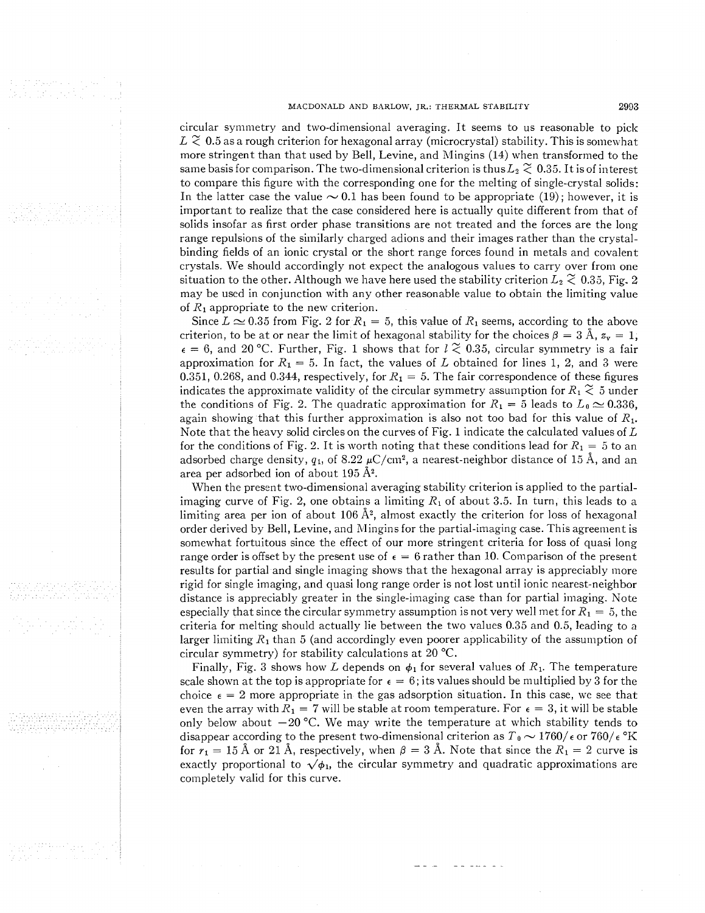#### MACDONALD AND BARLOW. JR.: THERMAL STABILITY **2993**

circular symmetry and two-dimensional averaging. It seems to us reasonable to pick  $L \gtrsim 0.5$  as a rough criterion for hexagonal array (microcrystal) stability. This is somewhat more stringent than that used by Bell, Levine, and Mingins (14) when transformed to the same basis for comparison. The two-dimensional criterion is thus  $L_2 \n\approx 0.35$ . It is of interest to compare this figure with the corresponding one for the melting of single-crystal solids:<br>In the latter case the value  $\sim 0.1$  has been found to be appropriate (19); however, it is important to realize that the case considered here is actually quite different from that of solids insofar as first order phase transitions are not treated and the forces are the long range repulsions of the similarly charged adions and their images rather than the crystalbinding fields of an ionic crystal or the short range forces found in metals and covalent crystals. We should accordingly not expect the analogous values to carry over from one situation to the other. Although we have here used the stability criterion  $L_2 \stackrel{\sim}{\sim} 0.35$ , Fig. 2 may be used in conjunction with any other reasonable value to obtain the limiting value of **R1** appropriate to the new criterion.

Since  $L \approx 0.35$  from Fig. 2 for  $R_1 = 5$ , this value of  $R_1$  seems, according to the above criterion, to be at or near the limit of hexagonal stability for the choices  $\beta = 3 \text{ Å}$ ,  $z_y = 1$ ,  $\epsilon = 6$ , and 20 °C. Further, Fig. 1 shows that for  $l \approx 0.35$ , circular symmetry is a fair approximation for  $R_1 = 5$ . In fact, the values of L obtained for lines 1, 2, and 3 were 0.351, 0.268, and 0.344, respectively, for  $R_1 = 5$ . The fair correspondence of these figures indicates the approximate validity of the circular symmetry assumption for  $R_1 \n\t\approx 5$  under the conditions of Fig. 2. The quadratic approximation for  $R_1 = 5$  leads to  $L_0 \approx 0.336$ , again showing that this further approximation is also not too bad for this value of  $R_1$ . Note that the heavy solid circles on the curves of Fig. 1 indicate the calculated values of  $L$ for the conditions of Fig. 2. It is worth noting that these conditions lead for  $R_1 = 5$  to an adsorbed charge density,  $q_1$ , of 8.22  $\mu$ C/cm<sup>2</sup>, a nearest-neighbor distance of 15 Å, and an area per adsorbed ion of about 195 **A2.** 

When the present two-dimensional averaging stability criterion is applied to the partialimaging curve of Fig. 2, one obtains a limiting  $R_1$  of about 3.5. In turn, this leads to a limiting area per ion of about 106  $\AA$ <sup>2</sup>, almost exactly the criterion for loss of hexagonal order derived by Bell, Levine, and Mingins for the partial-imaging case. This agreement is somewhat fortuitous since the effect of our more stringent criteria for Ioss of quasi long range order is offset by the present use of  $\epsilon = 6$  rather than 10. Comparison of the present results for partial and single imaging shows that the hexagonal array is appreciably inore rigid for single imaging, and quasi long range order is not lost until ionic nearest-neighbor distance is appreciably greater in the single-imaging case than for partial imaging. Kote especially that since the circular symmetry assumption is not very well met for  $R_1 = 5$ , the criteria for melting should actually lie between the two values 0.35 and 0.5, leading to a larger limiting  $R_1$  than 5 (and accordingly even poorer applicability of the assumption of circular symmetry) for stability calculations at 20 °C.

Finally, Fig. 3 shows how L depends on  $\phi_1$  for several values of  $R_1$ . The temperature scale shown at the top is appropriate for  $\epsilon = 6$ ; its values should be multiplied by 3 for the choice  $\epsilon = 2$  more appropriate in the gas adsorption situation. In this case, we see that even the array with  $R_1 = 7$  will be stable at room temperature. For  $\epsilon = 3$ , it will be stable only below about  $-20$  °C. We may write the temperature at which stability tends to disappear according to the present two-dimensional criterion as  $T_0 \sim 1760/\epsilon$  or  $760/\epsilon$  °K disappear according to the present two-dimensional criterion as  $T_0 \sim 1760/\epsilon$  or  $760/\epsilon$  °K for  $r_1 = 15$  Å or 21 Å, respectively, when  $\beta = 3$  Å. Note that since the  $R_1 = 2$  curve is exactly proportional to  $\sqrt{\phi_1}$ , the circular symmetry and quadratic approximations are completely valid for this curve.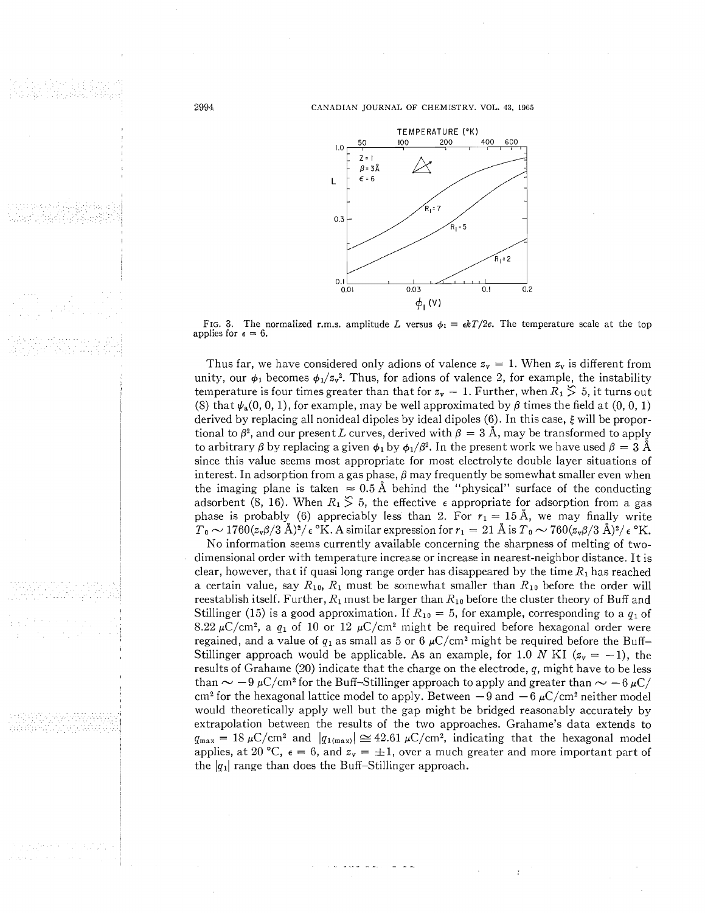CAXADIAN JOURNAL OF CHEMISTRY. VOL. **43.** 1965



FIG. 3. The normalized r.m.s. amplitude L versus  $\phi_1 = \frac{1}{2} kT/2e$ . The temperature scale at the top applies for  $\epsilon = 6$ .

Thus far, we have considered only adions of valence  $z_y = 1$ . When  $z_y$  is different from unity, our  $\phi_1$  becomes  $\phi_1/z_v^2$ . Thus, for adions of valence 2, for example, the instability temperature is four times greater than that for  $z<sub>y</sub> = 1$ . Further, when  $R_1 \geq 5$ , it turns out (8) that  $\psi_a(0, 0, 1)$ , for example, may be well approximated by  $\beta$  times the field at  $(0, 0, 1)$ derived by replacing all nonideal dipoles by ideal dipoles  $(6)$ . In this case,  $\xi$  will be proportional to  $\beta^2$ , and our present L curves, derived with  $\beta = 3$  Å, may be transformed to apply to arbitrary  $\beta$  by replacing a given  $\phi_1$  by  $\phi_1/\beta^2$ . In the present work we have used  $\beta = 3$  Å since this value seems most appropriate for most electrolyte double layer situations of interest. In adsorption from a gas phase,  $\beta$  may frequently be somewhat smaller even when the imaging plane is taken  $\approx 0.5 \text{ Å}$  behind the "physical" surface of the conducting adsorbent (8, 16). When  $R_1 \geq 5$ , the effective  $\epsilon$  appropriate for adsorption from a gas phase is probably (6) appreciably less than 2. For  $r_1 = 15$  Å, we may finally write  $T_0 \sim 1760(z_v\beta/3 \text{ Å})^2/\epsilon$  °K. A similar expression for  $r_1 = 21 \text{ Å}$  is  $T_0 \sim 760(z_v\beta/3 \text{ Å})^2/\epsilon$  °K.

No information seems currently available concerning the sharpness of melting of twodimensional order with temperature increase or increase in nearest-neighbor distance. It is clear, however, that if quasi long range order has disappeared by the time  $R_1$  has reached a certain value, say  $R_{10}$ ,  $R_1$  must be somewhat smaller than  $R_{10}$  before the order will reestablish itself. Further,  $R_1$  must be larger than  $R_{10}$  before the cluster theory of Buff and Stillinger (15) is a good approximation. If  $R_{10} = 5$ , for example, corresponding to a  $q_1$  of 8.22  $\mu$ C/cm<sup>2</sup>, a  $q_1$  of 10 or 12  $\mu$ C/cm<sup>2</sup> might be required before hexagonal order were regained, and a value of  $q_1$  as small as 5 or 6  $\mu$ C/cm<sup>2</sup> might be required before the Buff-Stillinger approach would be applicable. As an example, for 1.0 N KI ( $z_v = -1$ ), the results of Grahame (20) indicate that the charge on the electrode, q, might have to be less than  $\sim -9 \mu C/cm^2$  for the Buff-Stillinger approach to apply and greater than  $\sim -6 \mu C/m^2$ than  $\sim -9 \mu C/cm^2$  for the Buff-Stillinger approach to apply and greater than  $\sim -6 \mu C/cm^2$  for the hexagonal lattice model to apply. Between  $-9$  and  $-6 \mu C/cm^2$  neither model would theoretically apply well but the gap might be bridged reasonably accurately by extrapolation between the results of the two approaches. Grahame's data extends to  $q_{\text{max}} = 18 \,\mu\text{C/cm}^2$  and  $|q_{1(\text{max})}| \approx 42.61 \,\mu\text{C/cm}^2$ , indicating that the hexagonal model applies, at 20 °C,  $\epsilon = 6$ , and  $z_v = \pm 1$ , over a much greater and more important part of the  $|q_1|$  range than does the Buff-Stillinger approach.

2994